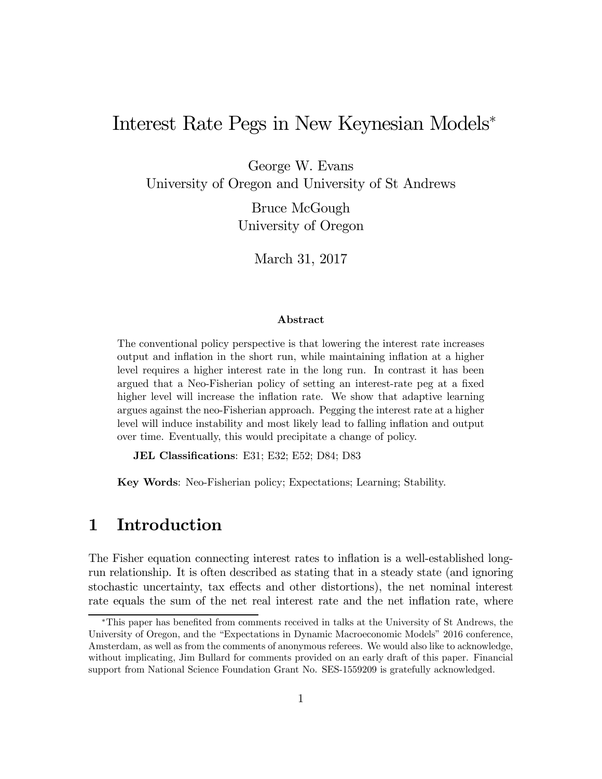# Interest Rate Pegs in New Keynesian Models<sup>∗</sup>

George W. Evans University of Oregon and University of St Andrews

> Bruce McGough University of Oregon

> > March 31, 2017

#### Abstract

The conventional policy perspective is that lowering the interest rate increases output and inflation in the short run, while maintaining inflation at a higher level requires a higher interest rate in the long run. In contrast it has been argued that a Neo-Fisherian policy of setting an interest-rate peg at a fixed higher level will increase the inflation rate. We show that adaptive learning argues against the neo-Fisherian approach. Pegging the interest rate at a higher level will induce instability and most likely lead to falling inflation and output over time. Eventually, this would precipitate a change of policy.

JEL Classifications: E31; E32; E52; D84; D83

Key Words: Neo-Fisherian policy; Expectations; Learning; Stability.

### 1 Introduction

The Fisher equation connecting interest rates to inflation is a well-established longrun relationship. It is often described as stating that in a steady state (and ignoring stochastic uncertainty, tax effects and other distortions), the net nominal interest rate equals the sum of the net real interest rate and the net inflation rate, where

<sup>∗</sup>This paper has benefited from comments received in talks at the University of St Andrews, the University of Oregon, and the "Expectations in Dynamic Macroeconomic Models" 2016 conference, Amsterdam, as well as from the comments of anonymous referees. We would also like to acknowledge, without implicating, Jim Bullard for comments provided on an early draft of this paper. Financial support from National Science Foundation Grant No. SES-1559209 is gratefully acknowledged.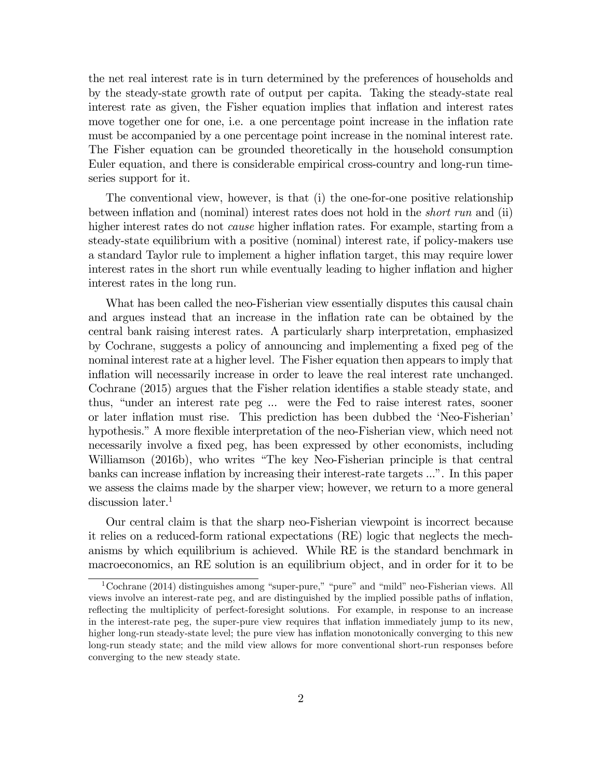the net real interest rate is in turn determined by the preferences of households and by the steady-state growth rate of output per capita. Taking the steady-state real interest rate as given, the Fisher equation implies that inflation and interest rates move together one for one, i.e. a one percentage point increase in the inflation rate must be accompanied by a one percentage point increase in the nominal interest rate. The Fisher equation can be grounded theoretically in the household consumption Euler equation, and there is considerable empirical cross-country and long-run timeseries support for it.

The conventional view, however, is that (i) the one-for-one positive relationship between inflation and (nominal) interest rates does not hold in the short run and (ii) higher interest rates do not *cause* higher inflation rates. For example, starting from a steady-state equilibrium with a positive (nominal) interest rate, if policy-makers use a standard Taylor rule to implement a higher inflation target, this may require lower interest rates in the short run while eventually leading to higher inflation and higher interest rates in the long run.

What has been called the neo-Fisherian view essentially disputes this causal chain and argues instead that an increase in the inflation rate can be obtained by the central bank raising interest rates. A particularly sharp interpretation, emphasized by Cochrane, suggests a policy of announcing and implementing a fixed peg of the nominal interest rate at a higher level. The Fisher equation then appears to imply that inflation will necessarily increase in order to leave the real interest rate unchanged. Cochrane (2015) argues that the Fisher relation identifies a stable steady state, and thus, "under an interest rate peg ... were the Fed to raise interest rates, sooner or later inflation must rise. This prediction has been dubbed the 'Neo-Fisherian' hypothesis." A more flexible interpretation of the neo-Fisherian view, which need not necessarily involve a fixed peg, has been expressed by other economists, including Williamson (2016b), who writes "The key Neo-Fisherian principle is that central banks can increase inflation by increasing their interest-rate targets ...". In this paper we assess the claims made by the sharper view; however, we return to a more general discussion later.<sup>1</sup>

Our central claim is that the sharp neo-Fisherian viewpoint is incorrect because it relies on a reduced-form rational expectations (RE) logic that neglects the mechanisms by which equilibrium is achieved. While RE is the standard benchmark in macroeconomics, an RE solution is an equilibrium object, and in order for it to be

<sup>&</sup>lt;sup>1</sup>Cochrane (2014) distinguishes among "super-pure," "pure" and "mild" neo-Fisherian views. All views involve an interest-rate peg, and are distinguished by the implied possible paths of inflation, reflecting the multiplicity of perfect-foresight solutions. For example, in response to an increase in the interest-rate peg, the super-pure view requires that inflation immediately jump to its new, higher long-run steady-state level; the pure view has inflation monotonically converging to this new long-run steady state; and the mild view allows for more conventional short-run responses before converging to the new steady state.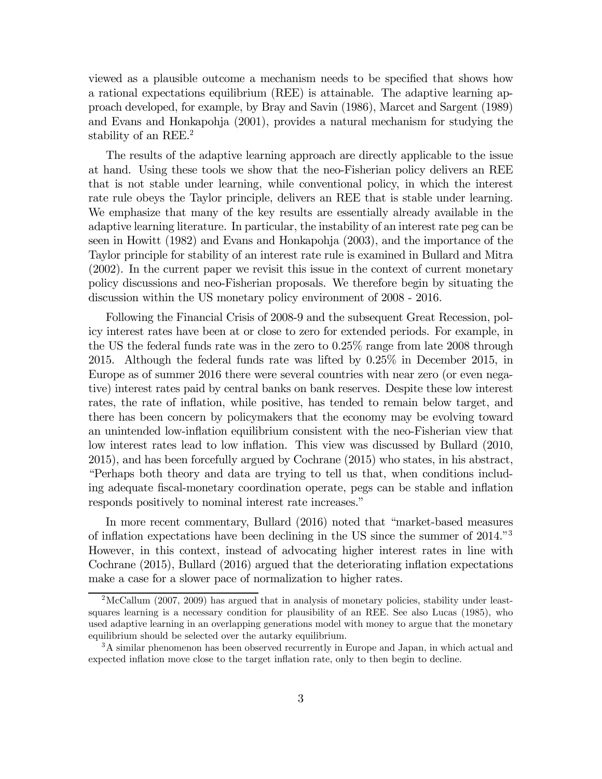viewed as a plausible outcome a mechanism needs to be specified that shows how a rational expectations equilibrium (REE) is attainable. The adaptive learning approach developed, for example, by Bray and Savin (1986), Marcet and Sargent (1989) and Evans and Honkapohja (2001), provides a natural mechanism for studying the stability of an REE.<sup>2</sup>

The results of the adaptive learning approach are directly applicable to the issue at hand. Using these tools we show that the neo-Fisherian policy delivers an REE that is not stable under learning, while conventional policy, in which the interest rate rule obeys the Taylor principle, delivers an REE that is stable under learning. We emphasize that many of the key results are essentially already available in the adaptive learning literature. In particular, the instability of an interest rate peg can be seen in Howitt (1982) and Evans and Honkapohja (2003), and the importance of the Taylor principle for stability of an interest rate rule is examined in Bullard and Mitra (2002). In the current paper we revisit this issue in the context of current monetary policy discussions and neo-Fisherian proposals. We therefore begin by situating the discussion within the US monetary policy environment of 2008 - 2016.

Following the Financial Crisis of 2008-9 and the subsequent Great Recession, policy interest rates have been at or close to zero for extended periods. For example, in the US the federal funds rate was in the zero to 0.25% range from late 2008 through 2015. Although the federal funds rate was lifted by 0.25% in December 2015, in Europe as of summer 2016 there were several countries with near zero (or even negative) interest rates paid by central banks on bank reserves. Despite these low interest rates, the rate of inflation, while positive, has tended to remain below target, and there has been concern by policymakers that the economy may be evolving toward an unintended low-inflation equilibrium consistent with the neo-Fisherian view that low interest rates lead to low inflation. This view was discussed by Bullard (2010, 2015), and has been forcefully argued by Cochrane (2015) who states, in his abstract, "Perhaps both theory and data are trying to tell us that, when conditions including adequate fiscal-monetary coordination operate, pegs can be stable and inflation responds positively to nominal interest rate increases."

In more recent commentary, Bullard (2016) noted that "market-based measures of inflation expectations have been declining in the US since the summer of 2014."3 However, in this context, instead of advocating higher interest rates in line with Cochrane (2015), Bullard (2016) argued that the deteriorating inflation expectations make a case for a slower pace of normalization to higher rates.

<sup>2</sup>McCallum (2007, 2009) has argued that in analysis of monetary policies, stability under leastsquares learning is a necessary condition for plausibility of an REE. See also Lucas (1985), who used adaptive learning in an overlapping generations model with money to argue that the monetary equilibrium should be selected over the autarky equilibrium.

<sup>&</sup>lt;sup>3</sup>A similar phenomenon has been observed recurrently in Europe and Japan, in which actual and expected inflation move close to the target inflation rate, only to then begin to decline.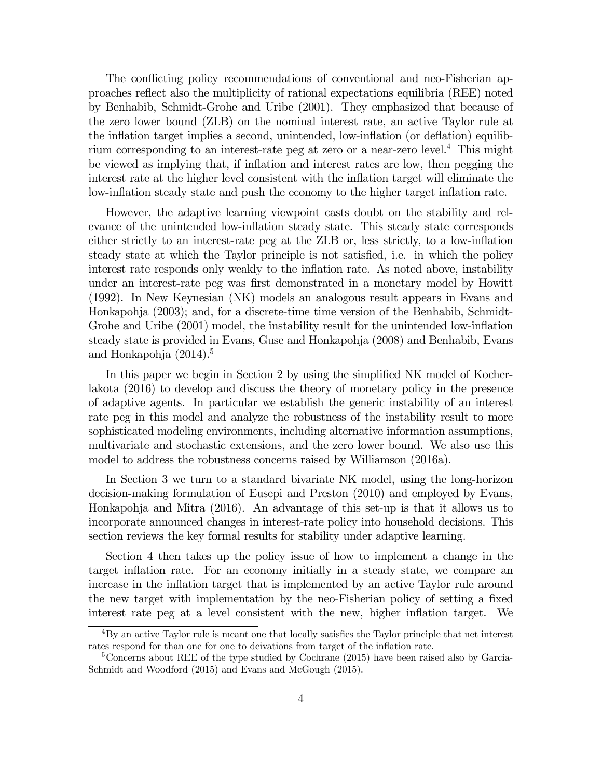The conflicting policy recommendations of conventional and neo-Fisherian approaches reflect also the multiplicity of rational expectations equilibria (REE) noted by Benhabib, Schmidt-Grohe and Uribe (2001). They emphasized that because of the zero lower bound (ZLB) on the nominal interest rate, an active Taylor rule at the inflation target implies a second, unintended, low-inflation (or deflation) equilibrium corresponding to an interest-rate peg at zero or a near-zero level.4 This might be viewed as implying that, if inflation and interest rates are low, then pegging the interest rate at the higher level consistent with the inflation target will eliminate the low-inflation steady state and push the economy to the higher target inflation rate.

However, the adaptive learning viewpoint casts doubt on the stability and relevance of the unintended low-inflation steady state. This steady state corresponds either strictly to an interest-rate peg at the ZLB or, less strictly, to a low-inflation steady state at which the Taylor principle is not satisfied, i.e. in which the policy interest rate responds only weakly to the inflation rate. As noted above, instability under an interest-rate peg was first demonstrated in a monetary model by Howitt (1992). In New Keynesian (NK) models an analogous result appears in Evans and Honkapohja (2003); and, for a discrete-time time version of the Benhabib, Schmidt-Grohe and Uribe (2001) model, the instability result for the unintended low-inflation steady state is provided in Evans, Guse and Honkapohja (2008) and Benhabib, Evans and Honkapohja  $(2014).5$ 

In this paper we begin in Section 2 by using the simplified NK model of Kocherlakota (2016) to develop and discuss the theory of monetary policy in the presence of adaptive agents. In particular we establish the generic instability of an interest rate peg in this model and analyze the robustness of the instability result to more sophisticated modeling environments, including alternative information assumptions, multivariate and stochastic extensions, and the zero lower bound. We also use this model to address the robustness concerns raised by Williamson (2016a).

In Section 3 we turn to a standard bivariate NK model, using the long-horizon decision-making formulation of Eusepi and Preston (2010) and employed by Evans, Honkapohja and Mitra (2016). An advantage of this set-up is that it allows us to incorporate announced changes in interest-rate policy into household decisions. This section reviews the key formal results for stability under adaptive learning.

Section 4 then takes up the policy issue of how to implement a change in the target inflation rate. For an economy initially in a steady state, we compare an increase in the inflation target that is implemented by an active Taylor rule around the new target with implementation by the neo-Fisherian policy of setting a fixed interest rate peg at a level consistent with the new, higher inflation target. We

 ${}^{4}$ By an active Taylor rule is meant one that locally satisfies the Taylor principle that net interest rates respond for than one for one to deivations from target of the inflation rate.

<sup>&</sup>lt;sup>5</sup>Concerns about REE of the type studied by Cochrane (2015) have been raised also by Garcia-Schmidt and Woodford (2015) and Evans and McGough (2015).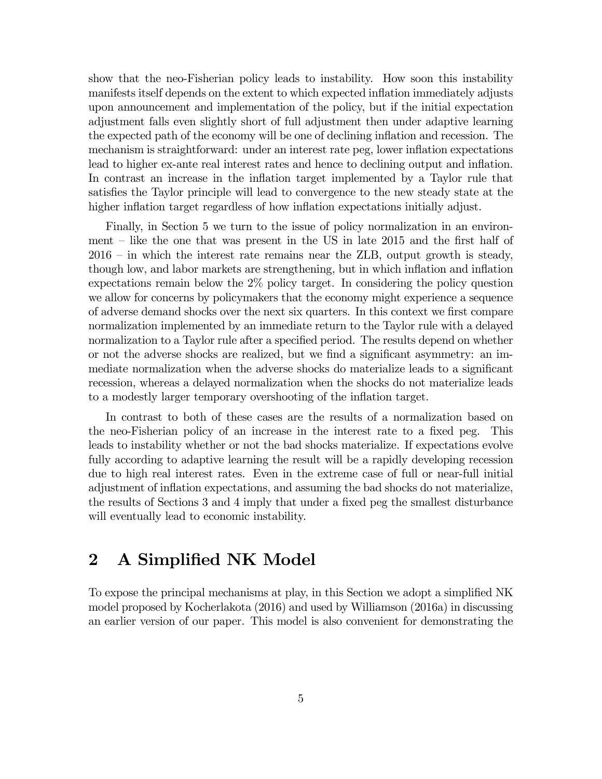show that the neo-Fisherian policy leads to instability. How soon this instability manifests itself depends on the extent to which expected inflation immediately adjusts upon announcement and implementation of the policy, but if the initial expectation adjustment falls even slightly short of full adjustment then under adaptive learning the expected path of the economy will be one of declining inflation and recession. The mechanism is straightforward: under an interest rate peg, lower inflation expectations lead to higher ex-ante real interest rates and hence to declining output and inflation. In contrast an increase in the inflation target implemented by a Taylor rule that satisfies the Taylor principle will lead to convergence to the new steady state at the higher inflation target regardless of how inflation expectations initially adjust.

Finally, in Section 5 we turn to the issue of policy normalization in an environment — like the one that was present in the US in late 2015 and the first half of 2016 — in which the interest rate remains near the ZLB, output growth is steady, though low, and labor markets are strengthening, but in which inflation and inflation expectations remain below the 2% policy target. In considering the policy question we allow for concerns by policymakers that the economy might experience a sequence of adverse demand shocks over the next six quarters. In this context we first compare normalization implemented by an immediate return to the Taylor rule with a delayed normalization to a Taylor rule after a specified period. The results depend on whether or not the adverse shocks are realized, but we find a significant asymmetry: an immediate normalization when the adverse shocks do materialize leads to a significant recession, whereas a delayed normalization when the shocks do not materialize leads to a modestly larger temporary overshooting of the inflation target.

In contrast to both of these cases are the results of a normalization based on the neo-Fisherian policy of an increase in the interest rate to a fixed peg. This leads to instability whether or not the bad shocks materialize. If expectations evolve fully according to adaptive learning the result will be a rapidly developing recession due to high real interest rates. Even in the extreme case of full or near-full initial adjustment of inflation expectations, and assuming the bad shocks do not materialize, the results of Sections 3 and 4 imply that under a fixed peg the smallest disturbance will eventually lead to economic instability.

### 2 A Simplified NK Model

To expose the principal mechanisms at play, in this Section we adopt a simplified NK model proposed by Kocherlakota (2016) and used by Williamson (2016a) in discussing an earlier version of our paper. This model is also convenient for demonstrating the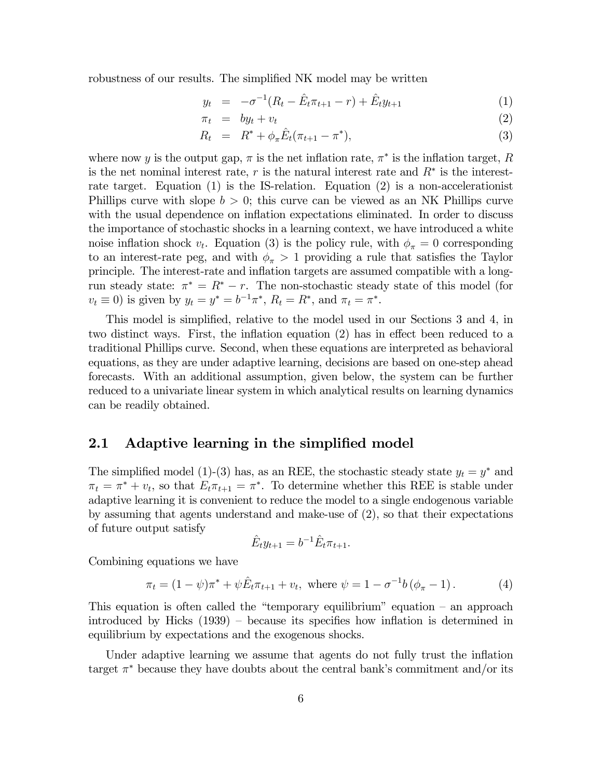robustness of our results. The simplified NK model may be written

$$
y_t = -\sigma^{-1}(R_t - \hat{E}_t \pi_{t+1} - r) + \hat{E}_t y_{t+1}
$$
 (1)

$$
\pi_t = by_t + v_t \tag{2}
$$

$$
R_t = R^* + \phi_\pi \hat{E}_t (\pi_{t+1} - \pi^*), \tag{3}
$$

where now y is the output gap,  $\pi$  is the net inflation rate,  $\pi^*$  is the inflation target, R is the net nominal interest rate,  $r$  is the natural interest rate and  $R^*$  is the interestrate target. Equation (1) is the IS-relation. Equation (2) is a non-accelerationist Phillips curve with slope  $b > 0$ ; this curve can be viewed as an NK Phillips curve with the usual dependence on inflation expectations eliminated. In order to discuss the importance of stochastic shocks in a learning context, we have introduced a white noise inflation shock  $v_t$ . Equation (3) is the policy rule, with  $\phi_{\pi} = 0$  corresponding to an interest-rate peg, and with  $\phi_{\pi} > 1$  providing a rule that satisfies the Taylor principle. The interest-rate and inflation targets are assumed compatible with a longrun steady state:  $\pi^* = R^* - r$ . The non-stochastic steady state of this model (for  $v_t \equiv 0$ ) is given by  $y_t = y^* = b^{-1}\pi^*, R_t = R^*,$  and  $\pi_t = \pi^*.$ 

This model is simplified, relative to the model used in our Sections 3 and 4, in two distinct ways. First, the inflation equation (2) has in effect been reduced to a traditional Phillips curve. Second, when these equations are interpreted as behavioral equations, as they are under adaptive learning, decisions are based on one-step ahead forecasts. With an additional assumption, given below, the system can be further reduced to a univariate linear system in which analytical results on learning dynamics can be readily obtained.

#### 2.1 Adaptive learning in the simplified model

The simplified model (1)-(3) has, as an REE, the stochastic steady state  $y_t = y^*$  and  $\pi_t = \pi^* + v_t$ , so that  $E_t \pi_{t+1} = \pi^*$ . To determine whether this REE is stable under adaptive learning it is convenient to reduce the model to a single endogenous variable by assuming that agents understand and make-use of (2), so that their expectations of future output satisfy

$$
\hat{E}_t y_{t+1} = b^{-1} \hat{E}_t \pi_{t+1}.
$$

Combining equations we have

$$
\pi_t = (1 - \psi)\pi^* + \psi \hat{E}_t \pi_{t+1} + v_t, \text{ where } \psi = 1 - \sigma^{-1}b(\phi_\pi - 1). \tag{4}
$$

This equation is often called the "temporary equilibrium" equation — an approach introduced by Hicks (1939) — because its specifies how inflation is determined in equilibrium by expectations and the exogenous shocks.

Under adaptive learning we assume that agents do not fully trust the inflation target  $\pi^*$  because they have doubts about the central bank's commitment and/or its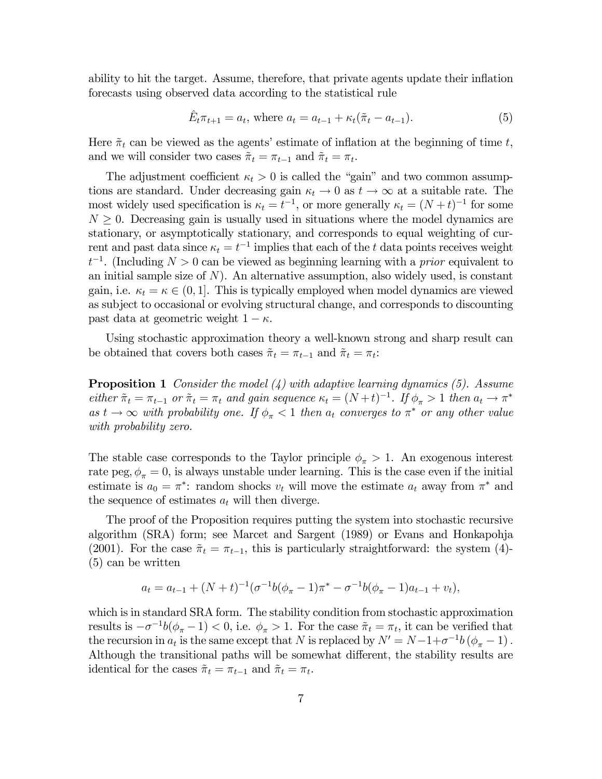ability to hit the target. Assume, therefore, that private agents update their inflation forecasts using observed data according to the statistical rule

$$
\hat{E}_t \pi_{t+1} = a_t, \text{ where } a_t = a_{t-1} + \kappa_t (\tilde{\pi}_t - a_{t-1}). \tag{5}
$$

Here  $\tilde{\pi}_t$  can be viewed as the agents' estimate of inflation at the beginning of time t, and we will consider two cases  $\tilde{\pi}_t = \pi_{t-1}$  and  $\tilde{\pi}_t = \pi_t$ .

The adjustment coefficient  $\kappa_t > 0$  is called the "gain" and two common assumptions are standard. Under decreasing gain  $\kappa_t \to 0$  as  $t \to \infty$  at a suitable rate. The most widely used specification is  $\kappa_t = t^{-1}$ , or more generally  $\kappa_t = (N+t)^{-1}$  for some  $N \geq 0$ . Decreasing gain is usually used in situations where the model dynamics are stationary, or asymptotically stationary, and corresponds to equal weighting of current and past data since  $\kappa_t = t^{-1}$  implies that each of the t data points receives weight  $t^{-1}$ . (Including  $N > 0$  can be viewed as beginning learning with a *prior* equivalent to an initial sample size of  $N$ ). An alternative assumption, also widely used, is constant gain, i.e.  $\kappa_t = \kappa \in (0, 1]$ . This is typically employed when model dynamics are viewed as subject to occasional or evolving structural change, and corresponds to discounting past data at geometric weight  $1 - \kappa$ .

Using stochastic approximation theory a well-known strong and sharp result can be obtained that covers both cases  $\tilde{\pi}_t = \pi_{t-1}$  and  $\tilde{\pi}_t = \pi_t$ :

**Proposition 1** Consider the model  $(4)$  with adaptive learning dynamics (5). Assume either  $\tilde{\pi}_t = \pi_{t-1}$  or  $\tilde{\pi}_t = \pi_t$  and gain sequence  $\kappa_t = (N+t)^{-1}$ . If  $\phi_{\pi} > 1$  then  $a_t \to \pi^*$ as  $t \to \infty$  with probability one. If  $\phi_{\pi} < 1$  then  $a_t$  converges to  $\pi^*$  or any other value with probability zero.

The stable case corresponds to the Taylor principle  $\phi_{\pi} > 1$ . An exogenous interest rate peg,  $\phi_{\pi} = 0$ , is always unstable under learning. This is the case even if the initial estimate is  $a_0 = \pi^*$ : random shocks  $v_t$  will move the estimate  $a_t$  away from  $\pi^*$  and the sequence of estimates  $a_t$  will then diverge.

The proof of the Proposition requires putting the system into stochastic recursive algorithm (SRA) form; see Marcet and Sargent (1989) or Evans and Honkapohja (2001). For the case  $\tilde{\pi}_t = \pi_{t-1}$ , this is particularly straightforward: the system (4)-(5) can be written

$$
a_t = a_{t-1} + (N+t)^{-1} (\sigma^{-1}b(\phi_\pi - 1)\pi^* - \sigma^{-1}b(\phi_\pi - 1)a_{t-1} + v_t),
$$

which is in standard SRA form. The stability condition from stochastic approximation results is  $-\sigma^{-1}b(\phi_{\pi}-1)$  < 0, i.e.  $\phi_{\pi}>1$ . For the case  $\tilde{\pi}_t = \pi_t$ , it can be verified that the recursion in  $a_t$  is the same except that N is replaced by  $N' = N - 1 + \sigma^{-1} b (\phi_\pi - 1)$ . Although the transitional paths will be somewhat different, the stability results are identical for the cases  $\tilde{\pi}_t = \pi_{t-1}$  and  $\tilde{\pi}_t = \pi_t$ .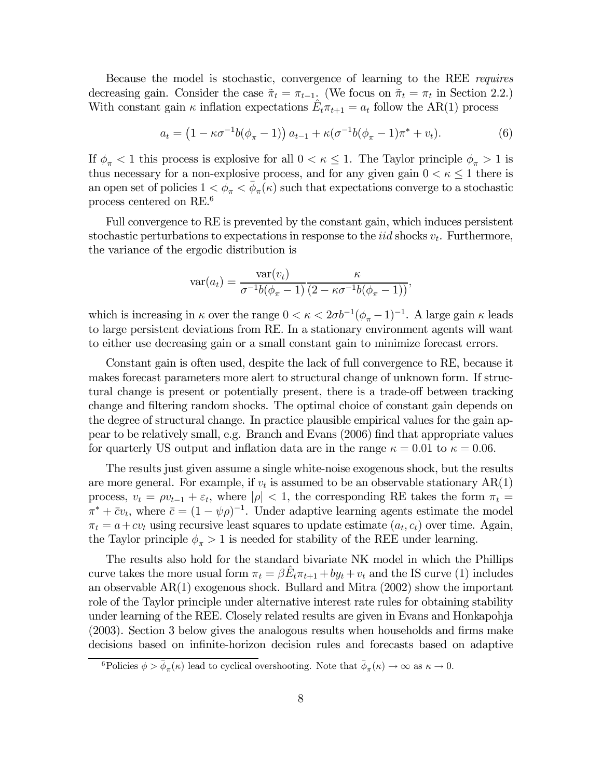Because the model is stochastic, convergence of learning to the REE requires decreasing gain. Consider the case  $\tilde{\pi}_t = \pi_{t-1}$ . (We focus on  $\tilde{\pi}_t = \pi_t$  in Section 2.2.) With constant gain  $\kappa$  inflation expectations  $E_t \pi_{t+1} = a_t$  follow the AR(1) process

$$
a_t = (1 - \kappa \sigma^{-1} b(\phi_\pi - 1)) a_{t-1} + \kappa (\sigma^{-1} b(\phi_\pi - 1) \pi^* + v_t).
$$
 (6)

If  $\phi_{\pi}$  < 1 this process is explosive for all  $0 < \kappa \leq 1$ . The Taylor principle  $\phi_{\pi} > 1$  is thus necessary for a non-explosive process, and for any given gain  $0 < \kappa \leq 1$  there is an open set of policies  $1 < \phi_{\pi} < \phi_{\pi}(\kappa)$  such that expectations converge to a stochastic process centered on RE.6

Full convergence to RE is prevented by the constant gain, which induces persistent stochastic perturbations to expectations in response to the *iid* shocks  $v_t$ . Furthermore, the variance of the ergodic distribution is

$$
var(a_t) = \frac{var(v_t)}{\sigma^{-1}b(\phi_{\pi} - 1)} \frac{\kappa}{(2 - \kappa \sigma^{-1}b(\phi_{\pi} - 1))},
$$

which is increasing in  $\kappa$  over the range  $0 < \kappa < 2\sigma b^{-1}(\phi_{\pi}-1)^{-1}$ . A large gain  $\kappa$  leads to large persistent deviations from RE. In a stationary environment agents will want to either use decreasing gain or a small constant gain to minimize forecast errors.

Constant gain is often used, despite the lack of full convergence to RE, because it makes forecast parameters more alert to structural change of unknown form. If structural change is present or potentially present, there is a trade-off between tracking change and filtering random shocks. The optimal choice of constant gain depends on the degree of structural change. In practice plausible empirical values for the gain appear to be relatively small, e.g. Branch and Evans (2006) find that appropriate values for quarterly US output and inflation data are in the range  $\kappa = 0.01$  to  $\kappa = 0.06$ .

The results just given assume a single white-noise exogenous shock, but the results are more general. For example, if  $v_t$  is assumed to be an observable stationary  $AR(1)$ process,  $v_t = \rho v_{t-1} + \varepsilon_t$ , where  $|\rho| < 1$ , the corresponding RE takes the form  $\pi_t =$  $\pi^* + \bar{c}v_t$ , where  $\bar{c} = (1 - \psi \rho)^{-1}$ . Under adaptive learning agents estimate the model  $\pi_t = a + cv_t$  using recursive least squares to update estimate  $(a_t, c_t)$  over time. Again, the Taylor principle  $\phi_{\pi} > 1$  is needed for stability of the REE under learning.

The results also hold for the standard bivariate NK model in which the Phillips curve takes the more usual form  $\pi_t = \beta E_t \pi_{t+1} + by_t + v_t$  and the IS curve (1) includes an observable AR(1) exogenous shock. Bullard and Mitra (2002) show the important role of the Taylor principle under alternative interest rate rules for obtaining stability under learning of the REE. Closely related results are given in Evans and Honkapohja (2003). Section 3 below gives the analogous results when households and firms make decisions based on infinite-horizon decision rules and forecasts based on adaptive

<sup>&</sup>lt;sup>6</sup>Policies  $\phi > \bar{\phi}_{\pi}(\kappa)$  lead to cyclical overshooting. Note that  $\bar{\phi}_{\pi}(\kappa) \to \infty$  as  $\kappa \to 0$ .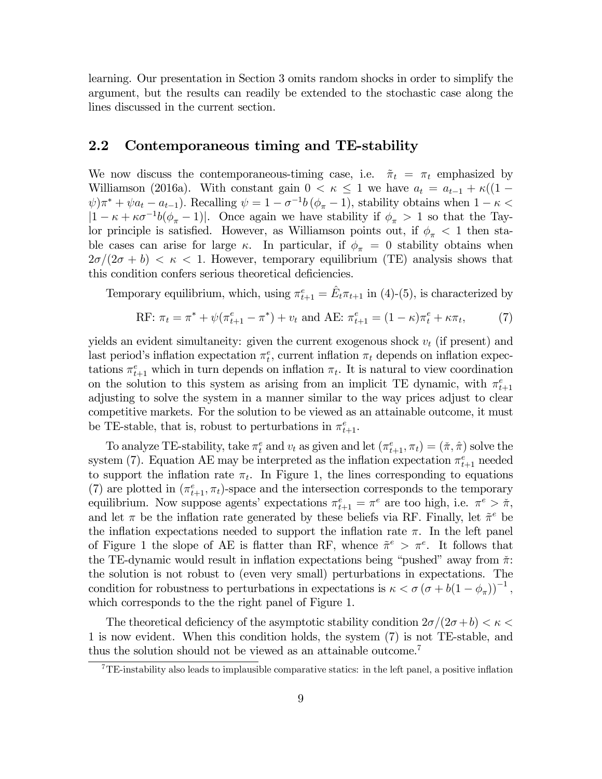learning. Our presentation in Section 3 omits random shocks in order to simplify the argument, but the results can readily be extended to the stochastic case along the lines discussed in the current section.

#### 2.2 Contemporaneous timing and TE-stability

We now discuss the contemporaneous-timing case, i.e.  $\tilde{\pi}_t = \pi_t$  emphasized by Williamson (2016a). With constant gain  $0 < \kappa \leq 1$  we have  $a_t = a_{t-1} + \kappa((1 \psi$ ) $\pi^* + \psi a_t - a_{t-1}$ ). Recalling  $\psi = 1 - \sigma^{-1} b (\phi_\pi - 1)$ , stability obtains when  $1 - \kappa <$  $|1 - \kappa + \kappa \sigma^{-1} b(\phi_{\pi} - 1)|$ . Once again we have stability if  $\phi_{\pi} > 1$  so that the Taylor principle is satisfied. However, as Williamson points out, if  $\phi_{\pi}$  < 1 then stable cases can arise for large  $\kappa$ . In particular, if  $\phi_{\pi} = 0$  stability obtains when  $2\sigma/(2\sigma + b) < \kappa < 1$ . However, temporary equilibrium (TE) analysis shows that this condition confers serious theoretical deficiencies.

Temporary equilibrium, which, using  $\pi_{t+1}^e = \hat{E}_t \pi_{t+1}$  in (4)-(5), is characterized by

RF: 
$$
\pi_t = \pi^* + \psi(\pi_{t+1}^e - \pi^*) + v_t
$$
 and AE:  $\pi_{t+1}^e = (1 - \kappa)\pi_t^e + \kappa \pi_t$ , (7)

yields an evident simultaneity: given the current exogenous shock  $v_t$  (if present) and last period's inflation expectation  $\pi_t^e$ , current inflation  $\pi_t$  depends on inflation expectations  $\pi_{t+1}^e$  which in turn depends on inflation  $\pi_t$ . It is natural to view coordination on the solution to this system as arising from an implicit TE dynamic, with  $\pi_{t+1}^e$ adjusting to solve the system in a manner similar to the way prices adjust to clear competitive markets. For the solution to be viewed as an attainable outcome, it must be TE-stable, that is, robust to perturbations in  $\pi_{t+1}^e$ .

To analyze TE-stability, take  $\pi_t^e$  and  $v_t$  as given and let  $(\pi_{t+1}^e, \pi_t) = (\tilde{\pi}, \hat{\pi})$  solve the system (7). Equation AE may be interpreted as the inflation expectation  $\pi_{t+1}^e$  needed to support the inflation rate  $\pi_t$ . In Figure 1, the lines corresponding to equations (7) are plotted in  $(\pi_{t+1}^e, \pi_t)$ -space and the intersection corresponds to the temporary equilibrium. Now suppose agents' expectations  $\pi_{t+1}^e = \pi^e$  are too high, i.e.  $\pi^e > \tilde{\pi}$ , and let  $\pi$  be the inflation rate generated by these beliefs via RF. Finally, let  $\tilde{\pi}^e$  be the inflation expectations needed to support the inflation rate  $\pi$ . In the left panel of Figure 1 the slope of AE is flatter than RF, whence  $\tilde{\pi}^e > \pi^e$ . It follows that the TE-dynamic would result in inflation expectations being "pushed" away from  $\tilde{\pi}$ : the solution is not robust to (even very small) perturbations in expectations. The condition for robustness to perturbations in expectations is  $\kappa < \sigma (\sigma + b(1 - \phi_{\pi}))^{-1}$ , which corresponds to the the right panel of Figure 1.

The theoretical deficiency of the asymptotic stability condition  $2\sigma/(2\sigma+b) < \kappa <$ 1 is now evident. When this condition holds, the system (7) is not TE-stable, and thus the solution should not be viewed as an attainable outcome.<sup>7</sup>

<sup>&</sup>lt;sup>7</sup>TE-instability also leads to implausible comparative statics: in the left panel, a positive inflation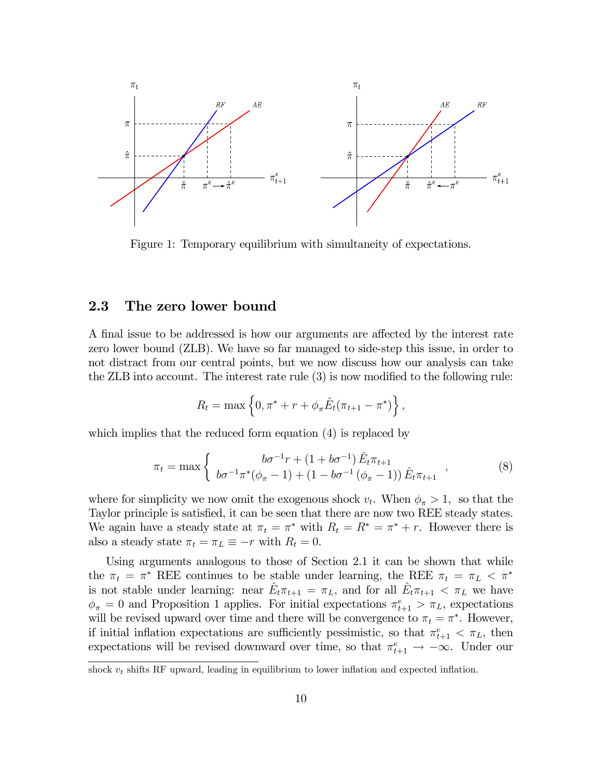

Figure 1: Temporary equilibrium with simultaneity of expectations.

#### 2.3 The zero lower bound

A final issue to be addressed is how our arguments are affected by the interest rate zero lower bound (ZLB). We have so far managed to side-step this issue, in order to not distract from our central points, but we now discuss how our analysis can take the ZLB into account. The interest rate rule (3) is now modified to the following rule:

$$
R_t = \max \left\{ 0, \pi^* + r + \phi_\pi \hat{E}_t (\pi_{t+1} - \pi^*) \right\},\,
$$

which implies that the reduced form equation  $(4)$  is replaced by

$$
\pi_t = \max \left\{ \begin{array}{c} b\sigma^{-1}r + (1 + b\sigma^{-1})\,\hat{E}_t \pi_{t+1} \\ b\sigma^{-1} \pi^*(\phi_\pi - 1) + (1 - b\sigma^{-1}(\phi_\pi - 1))\,\hat{E}_t \pi_{t+1} \end{array} \right., \tag{8}
$$

where for simplicity we now omit the exogenous shock  $v_t$ . When  $\phi_{\pi} > 1$ , so that the Taylor principle is satisfied, it can be seen that there are now two REE steady states. We again have a steady state at  $\pi_t = \pi^*$  with  $R_t = R^* = \pi^* + r$ . However there is also a steady state  $\pi_t = \pi_L \equiv -r$  with  $R_t = 0$ .

Using arguments analogous to those of Section 2.1 it can be shown that while the  $\pi_t = \pi^*$  REE continues to be stable under learning, the REE  $\pi_t = \pi_L < \pi^*$ is not stable under learning: near  $\hat{E}_t \pi_{t+1} = \pi_L$ , and for all  $\hat{E}_t \pi_{t+1} < \pi_L$  we have  $\phi_{\pi} = 0$  and Proposition 1 applies. For initial expectations  $\pi_{t+1}^e > \pi_L$ , expectations will be revised upward over time and there will be convergence to  $\pi_t = \pi^*$ . However, if initial inflation expectations are sufficiently pessimistic, so that  $\pi_{t+1}^e < \pi_L$ , then expectations will be revised downward over time, so that  $\pi_{t+1}^e \to -\infty$ . Under our

shock  $v_t$  shifts RF upward, leading in equilibrium to lower inflation and expected inflation.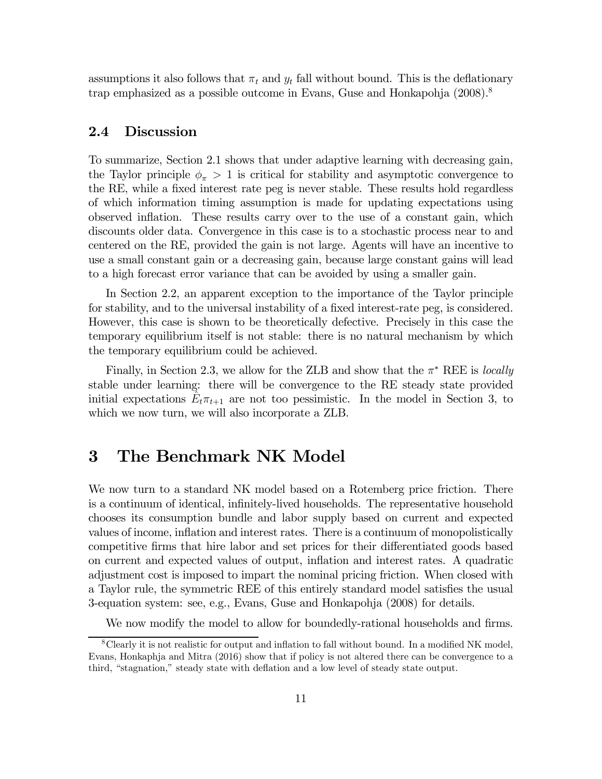assumptions it also follows that  $\pi_t$  and  $y_t$  fall without bound. This is the deflationary trap emphasized as a possible outcome in Evans, Guse and Honkapohja (2008).<sup>8</sup>

### 2.4 Discussion

To summarize, Section 2.1 shows that under adaptive learning with decreasing gain, the Taylor principle  $\phi_{\pi} > 1$  is critical for stability and asymptotic convergence to the RE, while a fixed interest rate peg is never stable. These results hold regardless of which information timing assumption is made for updating expectations using observed inflation. These results carry over to the use of a constant gain, which discounts older data. Convergence in this case is to a stochastic process near to and centered on the RE, provided the gain is not large. Agents will have an incentive to use a small constant gain or a decreasing gain, because large constant gains will lead to a high forecast error variance that can be avoided by using a smaller gain.

In Section 2.2, an apparent exception to the importance of the Taylor principle for stability, and to the universal instability of a fixed interest-rate peg, is considered. However, this case is shown to be theoretically defective. Precisely in this case the temporary equilibrium itself is not stable: there is no natural mechanism by which the temporary equilibrium could be achieved.

Finally, in Section 2.3, we allow for the ZLB and show that the  $\pi^*$  REE is locally stable under learning: there will be convergence to the RE steady state provided initial expectations  $E_t \pi_{t+1}$  are not too pessimistic. In the model in Section 3, to which we now turn, we will also incorporate a ZLB.

### 3 The Benchmark NK Model

We now turn to a standard NK model based on a Rotemberg price friction. There is a continuum of identical, infinitely-lived households. The representative household chooses its consumption bundle and labor supply based on current and expected values of income, inflation and interest rates. There is a continuum of monopolistically competitive firms that hire labor and set prices for their differentiated goods based on current and expected values of output, inflation and interest rates. A quadratic adjustment cost is imposed to impart the nominal pricing friction. When closed with a Taylor rule, the symmetric REE of this entirely standard model satisfies the usual 3-equation system: see, e.g., Evans, Guse and Honkapohja (2008) for details.

We now modify the model to allow for boundedly-rational households and firms.

<sup>8</sup>Clearly it is not realistic for output and inflation to fall without bound. In a modified NK model, Evans, Honkaphja and Mitra (2016) show that if policy is not altered there can be convergence to a third, "stagnation," steady state with deflation and a low level of steady state output.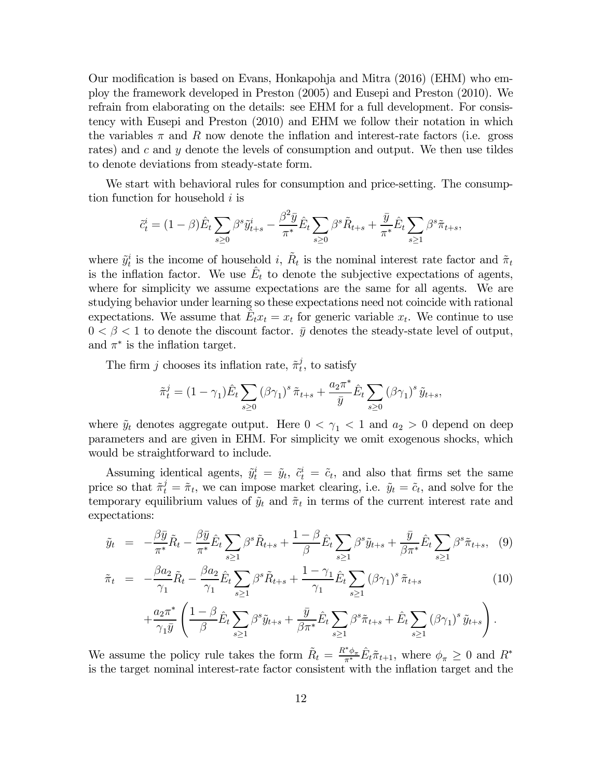Our modification is based on Evans, Honkapohja and Mitra (2016) (EHM) who employ the framework developed in Preston (2005) and Eusepi and Preston (2010). We refrain from elaborating on the details: see EHM for a full development. For consistency with Eusepi and Preston (2010) and EHM we follow their notation in which the variables  $\pi$  and R now denote the inflation and interest-rate factors (i.e. gross rates) and  $c$  and  $y$  denote the levels of consumption and output. We then use tildes to denote deviations from steady-state form.

We start with behavioral rules for consumption and price-setting. The consumption function for household  $i$  is

$$
\tilde{c}_t^i = (1 - \beta)\hat{E}_t \sum_{s \ge 0} \beta^s \tilde{y}_{t+s}^i - \frac{\beta^2 \bar{y}}{\pi^*} \hat{E}_t \sum_{s \ge 0} \beta^s \tilde{R}_{t+s} + \frac{\bar{y}}{\pi^*} \hat{E}_t \sum_{s \ge 1} \beta^s \tilde{\pi}_{t+s},
$$

where  $\tilde{y}_t^i$  is the income of household i,  $\tilde{R}_t$  is the nominal interest rate factor and  $\tilde{\pi}_t$ is the inflation factor. We use  $E_t$  to denote the subjective expectations of agents, where for simplicity we assume expectations are the same for all agents. We are studying behavior under learning so these expectations need not coincide with rational expectations. We assume that  $E_t x_t = x_t$  for generic variable  $x_t$ . We continue to use  $0 < \beta < 1$  to denote the discount factor.  $\bar{y}$  denotes the steady-state level of output, and  $\pi^*$  is the inflation target.

The firm *j* chooses its inflation rate,  $\tilde{\pi}_t^j$ , to satisfy

$$
\tilde{\pi}_t^j = (1 - \gamma_1) \hat{E}_t \sum_{s \ge 0} (\beta \gamma_1)^s \tilde{\pi}_{t+s} + \frac{a_2 \pi^*}{\bar{y}} \hat{E}_t \sum_{s \ge 0} (\beta \gamma_1)^s \tilde{y}_{t+s},
$$

where  $\tilde{y}_t$  denotes aggregate output. Here  $0 < \gamma_1 < 1$  and  $a_2 > 0$  depend on deep parameters and are given in EHM. For simplicity we omit exogenous shocks, which would be straightforward to include.

Assuming identical agents,  $\tilde{y}_t^i = \tilde{y}_t$ ,  $\tilde{c}_t^i = \tilde{c}_t$ , and also that firms set the same price so that  $\tilde{\pi}_t^j = \tilde{\pi}_t$ , we can impose market clearing, i.e.  $\tilde{y}_t = \tilde{c}_t$ , and solve for the temporary equilibrium values of  $\tilde{y}_t$  and  $\tilde{\pi}_t$  in terms of the current interest rate and expectations:

$$
\tilde{y}_t = -\frac{\beta \bar{y}}{\pi^*} \tilde{R}_t - \frac{\beta \bar{y}}{\pi^*} \hat{E}_t \sum_{s \ge 1} \beta^s \tilde{R}_{t+s} + \frac{1-\beta}{\beta} \hat{E}_t \sum_{s \ge 1} \beta^s \tilde{y}_{t+s} + \frac{\bar{y}}{\beta \pi^*} \hat{E}_t \sum_{s \ge 1} \beta^s \tilde{\pi}_{t+s}, \quad (9)
$$

$$
\tilde{\pi}_t = -\frac{\beta a_2}{\gamma_1} \tilde{R}_t - \frac{\beta a_2}{\gamma_1} \hat{E}_t \sum_{s \ge 1} \beta^s \tilde{R}_{t+s} + \frac{1 - \gamma_1}{\gamma_1} \hat{E}_t \sum_{s \ge 1} (\beta \gamma_1)^s \tilde{\pi}_{t+s}
$$
\n
$$
+ \frac{a_2 \pi^*}{\gamma_1 \bar{y}} \left( \frac{1 - \beta}{\beta} \hat{E}_t \sum_{s \ge 1} \beta^s \tilde{y}_{t+s} + \frac{\bar{y}}{\beta \pi^*} \hat{E}_t \sum_{s \ge 1} \beta^s \tilde{\pi}_{t+s} + \hat{E}_t \sum_{s \ge 1} (\beta \gamma_1)^s \tilde{y}_{t+s} \right).
$$
\n(10)

We assume the policy rule takes the form  $\tilde{R}_t = \frac{R^* \phi_{\pi}}{\pi^*} \hat{E}_t \tilde{\pi}_{t+1}$ , where  $\phi_{\pi} \geq 0$  and  $R^*$ is the target nominal interest-rate factor consistent with the inflation target and the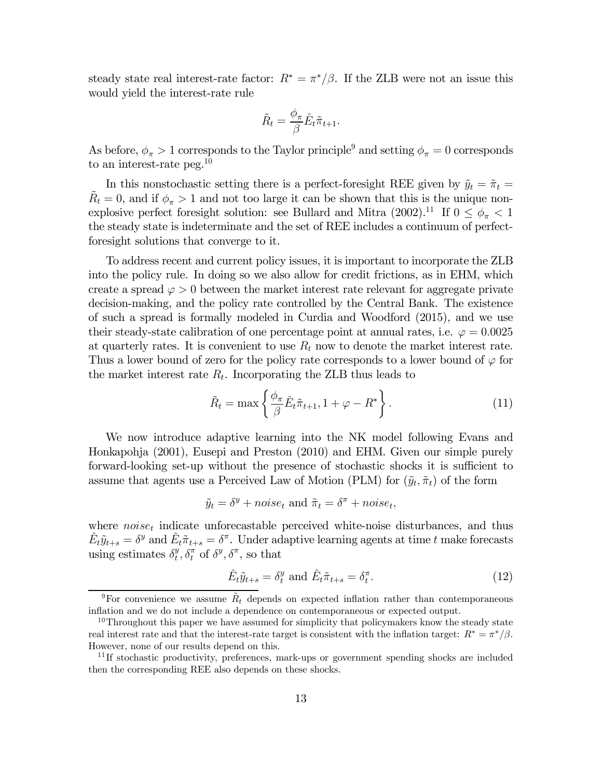steady state real interest-rate factor:  $R^* = \pi^*/\beta$ . If the ZLB were not an issue this would yield the interest-rate rule

$$
\tilde{R}_t = \frac{\phi_\pi}{\beta} \hat{E}_t \tilde{\pi}_{t+1}.
$$

As before,  $\phi_{\pi} > 1$  corresponds to the Taylor principle<sup>9</sup> and setting  $\phi_{\pi} = 0$  corresponds to an interest-rate peg.<sup>10</sup>

In this nonstochastic setting there is a perfect-foresight REE given by  $\tilde{y}_t = \tilde{\pi}_t =$  $\tilde{R}_t = 0$ , and if  $\phi_{\pi} > 1$  and not too large it can be shown that this is the unique nonexplosive perfect foresight solution: see Bullard and Mitra (2002).<sup>11</sup> If  $0 \le \phi_{\pi} < 1$ the steady state is indeterminate and the set of REE includes a continuum of perfectforesight solutions that converge to it.

To address recent and current policy issues, it is important to incorporate the ZLB into the policy rule. In doing so we also allow for credit frictions, as in EHM, which create a spread  $\varphi > 0$  between the market interest rate relevant for aggregate private decision-making, and the policy rate controlled by the Central Bank. The existence of such a spread is formally modeled in Curdia and Woodford (2015), and we use their steady-state calibration of one percentage point at annual rates, i.e.  $\varphi = 0.0025$ at quarterly rates. It is convenient to use  $R_t$  now to denote the market interest rate. Thus a lower bound of zero for the policy rate corresponds to a lower bound of  $\varphi$  for the market interest rate  $R_t$ . Incorporating the ZLB thus leads to

$$
\tilde{R}_t = \max\left\{\frac{\phi_\pi}{\beta}\hat{E}_t\tilde{\pi}_{t+1}, 1 + \varphi - R^*\right\}.
$$
\n(11)

We now introduce adaptive learning into the NK model following Evans and Honkapohja (2001), Eusepi and Preston (2010) and EHM. Given our simple purely forward-looking set-up without the presence of stochastic shocks it is sufficient to assume that agents use a Perceived Law of Motion (PLM) for  $(\tilde{y}_t, \tilde{\pi}_t)$  of the form

$$
\tilde{y}_t = \delta^y + noise_t
$$
 and  $\tilde{\pi}_t = \delta^{\pi} + noise_t$ ,

where  $noise<sub>t</sub>$  indicate unforecastable perceived white-noise disturbances, and thus  $\hat{E}_t \tilde{y}_{t+s} = \delta^y$  and  $\hat{E}_t \tilde{\pi}_{t+s} = \delta^{\pi}$ . Under adaptive learning agents at time t make forecasts using estimates  $\delta_t^y, \delta_t^{\pi}$  of  $\delta^y, \delta^{\pi}$ , so that

$$
\hat{E}_t \tilde{y}_{t+s} = \delta_t^y \text{ and } \hat{E}_t \tilde{\pi}_{t+s} = \delta_t^{\pi}.
$$
\n(12)

<sup>&</sup>lt;sup>9</sup>For convenience we assume  $\tilde{R}_t$  depends on expected inflation rather than contemporaneous inflation and we do not include a dependence on contemporaneous or expected output.

 $10$ Throughout this paper we have assumed for simplicity that policymakers know the steady state real interest rate and that the interest-rate target is consistent with the inflation target:  $R^* = \pi^*/\beta$ . However, none of our results depend on this.

<sup>&</sup>lt;sup>11</sup>If stochastic productivity, preferences, mark-ups or government spending shocks are included then the corresponding REE also depends on these shocks.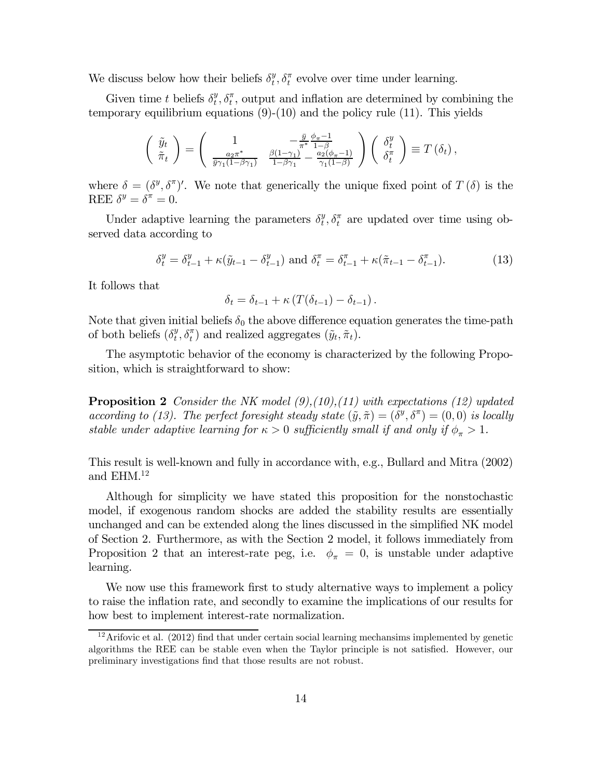We discuss below how their beliefs  $\delta_t^y$ ,  $\delta_t^{\pi}$  evolve over time under learning.

Given time t beliefs  $\delta_t^y$ ,  $\delta_t^{\pi}$ , output and inflation are determined by combining the temporary equilibrium equations  $(9)-(10)$  and the policy rule  $(11)$ . This yields

$$
\begin{pmatrix}\n\tilde{y}_t \\
\tilde{\pi}_t\n\end{pmatrix} = \begin{pmatrix}\n1 & -\frac{\bar{y}}{\pi^*} \frac{\phi_{\pi} - 1}{1 - \beta} \\
\frac{a_2 \pi^*}{\bar{y} \gamma_1 (1 - \beta \gamma_1)} & \frac{\beta (1 - \gamma_1)}{1 - \beta \gamma_1} - \frac{a_2 (\phi_{\pi} - 1)}{\gamma_1 (1 - \beta)}\n\end{pmatrix} \begin{pmatrix}\n\delta_t^y \\
\delta_t^{\pi}\n\end{pmatrix} \equiv T(\delta_t),
$$

where  $\delta = (\delta^y, \delta^{\pi})'$ . We note that generically the unique fixed point of  $T(\delta)$  is the REE  $\delta^y = \delta^{\pi} = 0$ .

Under adaptive learning the parameters  $\delta_t^y$ ,  $\delta_t^{\pi}$  are updated over time using observed data according to

$$
\delta_t^y = \delta_{t-1}^y + \kappa(\tilde{y}_{t-1} - \delta_{t-1}^y) \text{ and } \delta_t^{\pi} = \delta_{t-1}^{\pi} + \kappa(\tilde{\pi}_{t-1} - \delta_{t-1}^{\pi}). \tag{13}
$$

It follows that

$$
\delta_t = \delta_{t-1} + \kappa \left( T(\delta_{t-1}) - \delta_{t-1} \right).
$$

Note that given initial beliefs  $\delta_0$  the above difference equation generates the time-path of both beliefs  $(\delta_t^y, \delta_t^{\pi})$  and realized aggregates  $(\tilde{y}_t, \tilde{\pi}_t)$ .

The asymptotic behavior of the economy is characterized by the following Proposition, which is straightforward to show:

**Proposition 2** Consider the NK model  $(9)$ , $(10)$ , $(11)$  with expectations  $(12)$  updated according to (13). The perfect foresight steady state  $(\tilde{y}, \tilde{\pi}) = (\delta^y, \delta^{\pi}) = (0, 0)$  is locally stable under adaptive learning for  $\kappa > 0$  sufficiently small if and only if  $\phi_{\pi} > 1$ .

This result is well-known and fully in accordance with, e.g., Bullard and Mitra (2002) and EHM.<sup>12</sup>

Although for simplicity we have stated this proposition for the nonstochastic model, if exogenous random shocks are added the stability results are essentially unchanged and can be extended along the lines discussed in the simplified NK model of Section 2. Furthermore, as with the Section 2 model, it follows immediately from Proposition 2 that an interest-rate peg, i.e.  $\phi_{\pi} = 0$ , is unstable under adaptive learning.

We now use this framework first to study alternative ways to implement a policy to raise the inflation rate, and secondly to examine the implications of our results for how best to implement interest-rate normalization.

 $12$ Arifovic et al. (2012) find that under certain social learning mechansims implemented by genetic algorithms the REE can be stable even when the Taylor principle is not satisfied. However, our preliminary investigations find that those results are not robust.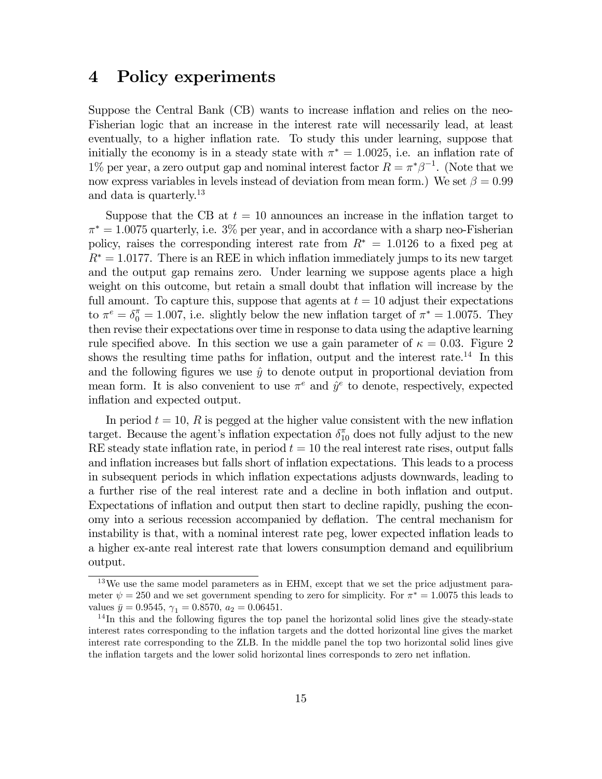### 4 Policy experiments

Suppose the Central Bank (CB) wants to increase inflation and relies on the neo-Fisherian logic that an increase in the interest rate will necessarily lead, at least eventually, to a higher inflation rate. To study this under learning, suppose that initially the economy is in a steady state with  $\pi^* = 1.0025$ , i.e. an inflation rate of 1% per year, a zero output gap and nominal interest factor  $R = \pi^* \beta^{-1}$ . (Note that we now express variables in levels instead of deviation from mean form.) We set  $\beta = 0.99$ and data is quarterly.<sup>13</sup>

Suppose that the CB at  $t = 10$  announces an increase in the inflation target to  $\pi^* = 1.0075$  quarterly, i.e. 3% per year, and in accordance with a sharp neo-Fisherian policy, raises the corresponding interest rate from  $R^* = 1.0126$  to a fixed peg at  $R^* = 1.0177$ . There is an REE in which inflation immediately jumps to its new target and the output gap remains zero. Under learning we suppose agents place a high weight on this outcome, but retain a small doubt that inflation will increase by the full amount. To capture this, suppose that agents at  $t = 10$  adjust their expectations to  $\pi^e = \delta_0^{\pi} = 1.007$ , i.e. slightly below the new inflation target of  $\pi^* = 1.0075$ . They then revise their expectations over time in response to data using the adaptive learning rule specified above. In this section we use a gain parameter of  $\kappa = 0.03$ . Figure 2 shows the resulting time paths for inflation, output and the interest rate.<sup>14</sup> In this and the following figures we use  $\hat{y}$  to denote output in proportional deviation from mean form. It is also convenient to use  $\pi^e$  and  $\hat{y}^e$  to denote, respectively, expected inflation and expected output.

In period  $t = 10$ , R is pegged at the higher value consistent with the new inflation target. Because the agent's inflation expectation  $\delta_{10}^{\pi}$  does not fully adjust to the new RE steady state inflation rate, in period  $t = 10$  the real interest rate rises, output falls and inflation increases but falls short of inflation expectations. This leads to a process in subsequent periods in which inflation expectations adjusts downwards, leading to a further rise of the real interest rate and a decline in both inflation and output. Expectations of inflation and output then start to decline rapidly, pushing the economy into a serious recession accompanied by deflation. The central mechanism for instability is that, with a nominal interest rate peg, lower expected inflation leads to a higher ex-ante real interest rate that lowers consumption demand and equilibrium output.

<sup>&</sup>lt;sup>13</sup>We use the same model parameters as in EHM, except that we set the price adjustment parameter  $\psi = 250$  and we set government spending to zero for simplicity. For  $\pi^* = 1.0075$  this leads to values  $\bar{y} = 0.9545$ ,  $\gamma_1 = 0.8570$ ,  $a_2 = 0.06451$ .<br><sup>14</sup>In this and the following figures the top panel the horizontal solid lines give the steady-state

interest rates corresponding to the inflation targets and the dotted horizontal line gives the market interest rate corresponding to the ZLB. In the middle panel the top two horizontal solid lines give the inflation targets and the lower solid horizontal lines corresponds to zero net inflation.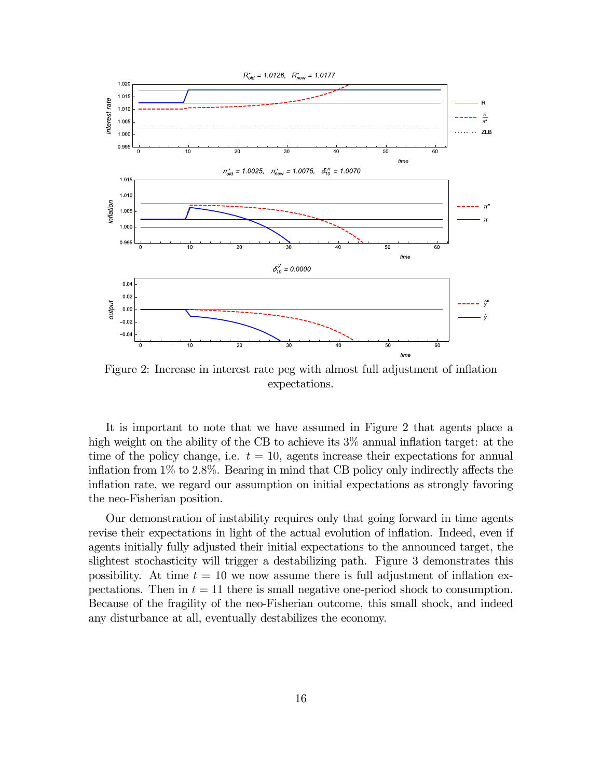

Figure 2: Increase in interest rate peg with almost full adjustment of inflation expectations.

It is important to note that we have assumed in Figure 2 that agents place a high weight on the ability of the CB to achieve its  $3\%$  annual inflation target: at the time of the policy change, i.e.  $t = 10$ , agents increase their expectations for annual inflation from 1% to 28%. Bearing in mind that CB policy only indirectly affects the inflation rate, we regard our assumption on initial expectations as strongly favoring the neo-Fisherian position.

Our demonstration of instability requires only that going forward in time agents revise their expectations in light of the actual evolution of inflation. Indeed, even if agents initially fully adjusted their initial expectations to the announced target, the slightest stochasticity will trigger a destabilizing path. Figure 3 demonstrates this possibility. At time  $t = 10$  we now assume there is full adjustment of inflation expectations. Then in  $t = 11$  there is small negative one-period shock to consumption. Because of the fragility of the neo-Fisherian outcome, this small shock, and indeed any disturbance at all, eventually destabilizes the economy.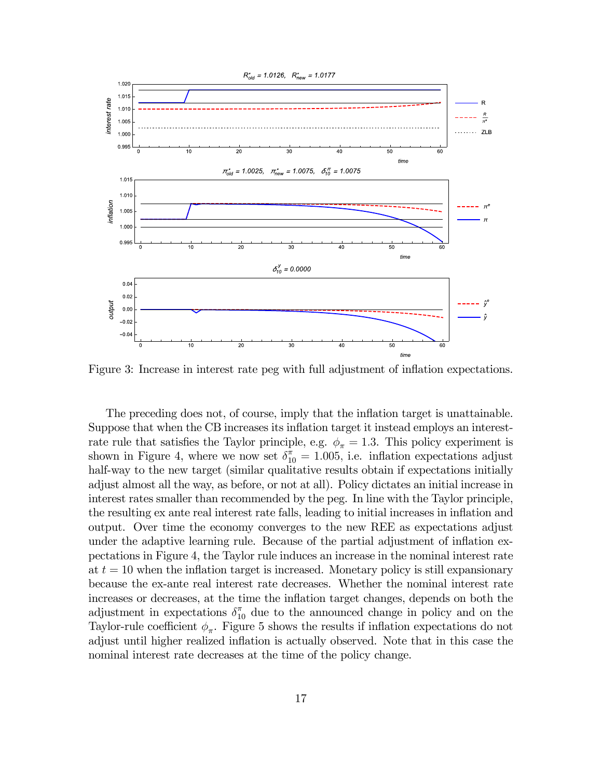

Figure 3: Increase in interest rate peg with full adjustment of inflation expectations.

The preceding does not, of course, imply that the inflation target is unattainable. Suppose that when the CB increases its inflation target it instead employs an interestrate rule that satisfies the Taylor principle, e.g.  $\phi_{\pi} = 1.3$ . This policy experiment is shown in Figure 4, where we now set  $\delta_{10}^{\pi} = 1.005$ , i.e. inflation expectations adjust half-way to the new target (similar qualitative results obtain if expectations initially adjust almost all the way, as before, or not at all). Policy dictates an initial increase in interest rates smaller than recommended by the peg. In line with the Taylor principle, the resulting ex ante real interest rate falls, leading to initial increases in inflation and output. Over time the economy converges to the new REE as expectations adjust under the adaptive learning rule. Because of the partial adjustment of inflation expectations in Figure 4, the Taylor rule induces an increase in the nominal interest rate at  $t = 10$  when the inflation target is increased. Monetary policy is still expansionary because the ex-ante real interest rate decreases. Whether the nominal interest rate increases or decreases, at the time the inflation target changes, depends on both the adjustment in expectations  $\delta_{10}^{\pi}$  due to the announced change in policy and on the Taylor-rule coefficient  $\phi_{\pi}$ . Figure 5 shows the results if inflation expectations do not adjust until higher realized inflation is actually observed. Note that in this case the nominal interest rate decreases at the time of the policy change.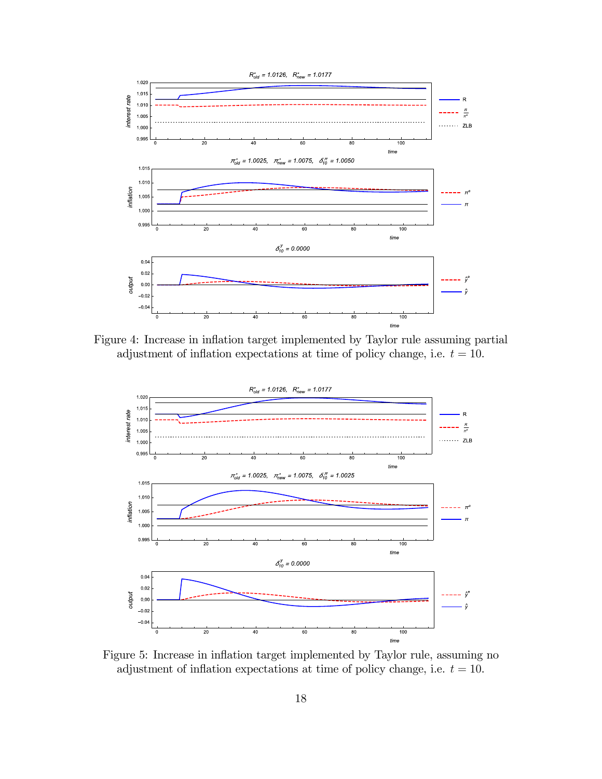

Figure 4: Increase in inflation target implemented by Taylor rule assuming partial adjustment of inflation expectations at time of policy change, i.e.  $t = 10$ .



Figure 5: Increase in inflation target implemented by Taylor rule, assuming no adjustment of inflation expectations at time of policy change, i.e.  $t = 10$ .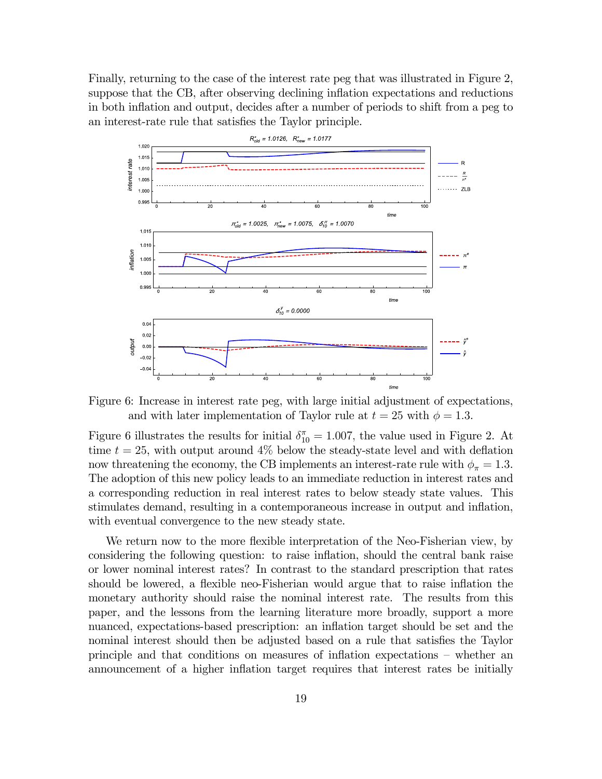Finally, returning to the case of the interest rate peg that was illustrated in Figure 2, suppose that the CB, after observing declining inflation expectations and reductions in both inflation and output, decides after a number of periods to shift from a peg to an interest-rate rule that satisfies the Taylor principle.



Figure 6: Increase in interest rate peg, with large initial adjustment of expectations, and with later implementation of Taylor rule at  $t = 25$  with  $\phi = 1.3$ .

Figure 6 illustrates the results for initial  $\delta_{10}^{\pi} = 1.007$ , the value used in Figure 2. At time  $t = 25$ , with output around  $4\%$  below the steady-state level and with deflation now threatening the economy, the CB implements an interest-rate rule with  $\phi_{\pi} = 1.3$ . The adoption of this new policy leads to an immediate reduction in interest rates and a corresponding reduction in real interest rates to below steady state values. This stimulates demand, resulting in a contemporaneous increase in output and inflation, with eventual convergence to the new steady state.

We return now to the more flexible interpretation of the Neo-Fisherian view, by considering the following question: to raise inflation, should the central bank raise or lower nominal interest rates? In contrast to the standard prescription that rates should be lowered, a flexible neo-Fisherian would argue that to raise inflation the monetary authority should raise the nominal interest rate. The results from this paper, and the lessons from the learning literature more broadly, support a more nuanced, expectations-based prescription: an inflation target should be set and the nominal interest should then be adjusted based on a rule that satisfies the Taylor principle and that conditions on measures of inflation expectations — whether an announcement of a higher inflation target requires that interest rates be initially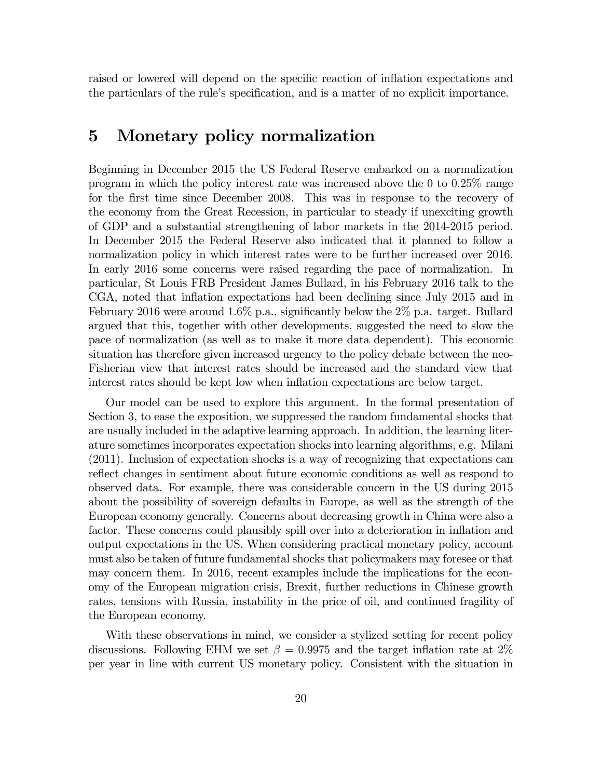raised or lowered will depend on the specific reaction of inflation expectations and the particulars of the rule's specification, and is a matter of no explicit importance.

### 5 Monetary policy normalization

Beginning in December 2015 the US Federal Reserve embarked on a normalization program in which the policy interest rate was increased above the 0 to 025% range for the first time since December 2008. This was in response to the recovery of the economy from the Great Recession, in particular to steady if unexciting growth of GDP and a substantial strengthening of labor markets in the 2014-2015 period. In December 2015 the Federal Reserve also indicated that it planned to follow a normalization policy in which interest rates were to be further increased over 2016. In early 2016 some concerns were raised regarding the pace of normalization. In particular, St Louis FRB President James Bullard, in his February 2016 talk to the CGA, noted that inflation expectations had been declining since July 2015 and in February 2016 were around 1.6% p.a., significantly below the  $2\%$  p.a. target. Bullard argued that this, together with other developments, suggested the need to slow the pace of normalization (as well as to make it more data dependent). This economic situation has therefore given increased urgency to the policy debate between the neo-Fisherian view that interest rates should be increased and the standard view that interest rates should be kept low when inflation expectations are below target.

Our model can be used to explore this argument. In the formal presentation of Section 3, to ease the exposition, we suppressed the random fundamental shocks that are usually included in the adaptive learning approach. In addition, the learning literature sometimes incorporates expectation shocks into learning algorithms, e.g. Milani (2011). Inclusion of expectation shocks is a way of recognizing that expectations can reflect changes in sentiment about future economic conditions as well as respond to observed data. For example, there was considerable concern in the US during 2015 about the possibility of sovereign defaults in Europe, as well as the strength of the European economy generally. Concerns about decreasing growth in China were also a factor. These concerns could plausibly spill over into a deterioration in inflation and output expectations in the US. When considering practical monetary policy, account must also be taken of future fundamental shocks that policymakers may foresee or that may concern them. In 2016, recent examples include the implications for the economy of the European migration crisis, Brexit, further reductions in Chinese growth rates, tensions with Russia, instability in the price of oil, and continued fragility of the European economy.

With these observations in mind, we consider a stylized setting for recent policy discussions. Following EHM we set  $\beta = 0.9975$  and the target inflation rate at 2% per year in line with current US monetary policy. Consistent with the situation in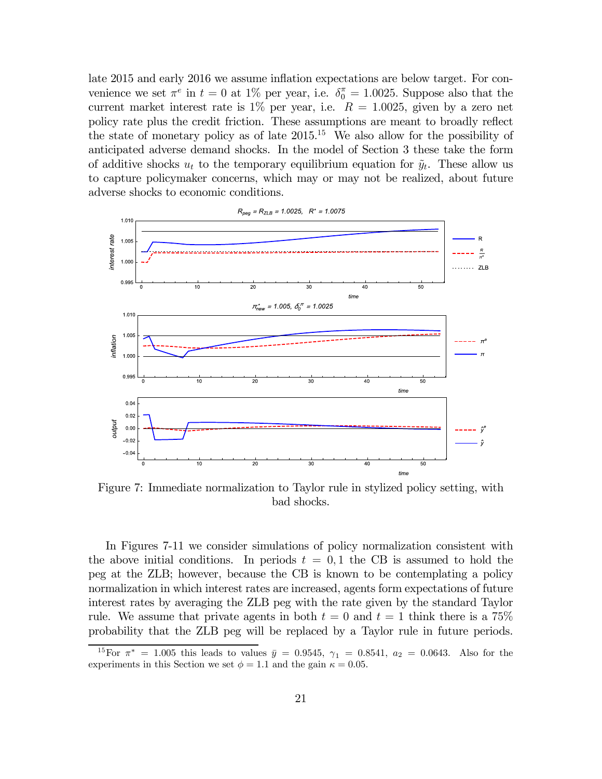late 2015 and early 2016 we assume inflation expectations are below target. For convenience we set  $\pi^e$  in  $t = 0$  at 1% per year, i.e.  $\delta_0^{\pi} = 1.0025$ . Suppose also that the current market interest rate is  $1\%$  per year, i.e.  $R = 1.0025$ , given by a zero net policy rate plus the credit friction. These assumptions are meant to broadly reflect the state of monetary policy as of late  $2015^{15}$ . We also allow for the possibility of anticipated adverse demand shocks. In the model of Section 3 these take the form of additive shocks  $u_t$  to the temporary equilibrium equation for  $\tilde{y}_t$ . These allow us to capture policymaker concerns, which may or may not be realized, about future adverse shocks to economic conditions.



Figure 7: Immediate normalization to Taylor rule in stylized policy setting, with bad shocks.

In Figures 7-11 we consider simulations of policy normalization consistent with the above initial conditions. In periods  $t = 0,1$  the CB is assumed to hold the peg at the ZLB; however, because the CB is known to be contemplating a policy normalization in which interest rates are increased, agents form expectations of future interest rates by averaging the ZLB peg with the rate given by the standard Taylor rule. We assume that private agents in both  $t = 0$  and  $t = 1$  think there is a 75% probability that the ZLB peg will be replaced by a Taylor rule in future periods.

<sup>&</sup>lt;sup>15</sup>For  $\pi^* = 1.005$  this leads to values  $\bar{y} = 0.9545$ ,  $\gamma_1 = 0.8541$ ,  $a_2 = 0.0643$ . Also for the experiments in this Section we set  $\phi = 1.1$  and the gain  $\kappa = 0.05$ .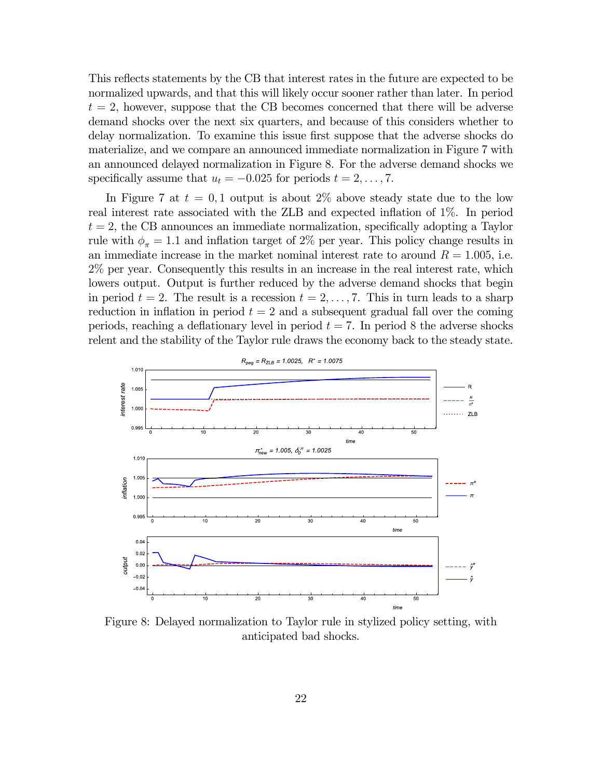This reflects statements by the CB that interest rates in the future are expected to be normalized upwards, and that this will likely occur sooner rather than later. In period  $t = 2$ , however, suppose that the CB becomes concerned that there will be adverse demand shocks over the next six quarters, and because of this considers whether to delay normalization. To examine this issue first suppose that the adverse shocks do materialize, and we compare an announced immediate normalization in Figure 7 with an announced delayed normalization in Figure 8. For the adverse demand shocks we specifically assume that  $u_t = -0.025$  for periods  $t = 2, \ldots, 7$ .

In Figure 7 at  $t = 0,1$  output is about 2\% above steady state due to the low real interest rate associated with the ZLB and expected inflation of 1%. In period  $t = 2$ , the CB announces an immediate normalization, specifically adopting a Taylor rule with  $\phi_{\pi} = 1.1$  and inflation target of 2% per year. This policy change results in an immediate increase in the market nominal interest rate to around  $R = 1.005$ , i.e. 2% per year. Consequently this results in an increase in the real interest rate, which lowers output. Output is further reduced by the adverse demand shocks that begin in period  $t = 2$ . The result is a recession  $t = 2, \ldots, 7$ . This in turn leads to a sharp reduction in inflation in period  $t = 2$  and a subsequent gradual fall over the coming periods, reaching a deflationary level in period  $t = 7$ . In period 8 the adverse shocks relent and the stability of the Taylor rule draws the economy back to the steady state.



Figure 8: Delayed normalization to Taylor rule in stylized policy setting, with anticipated bad shocks.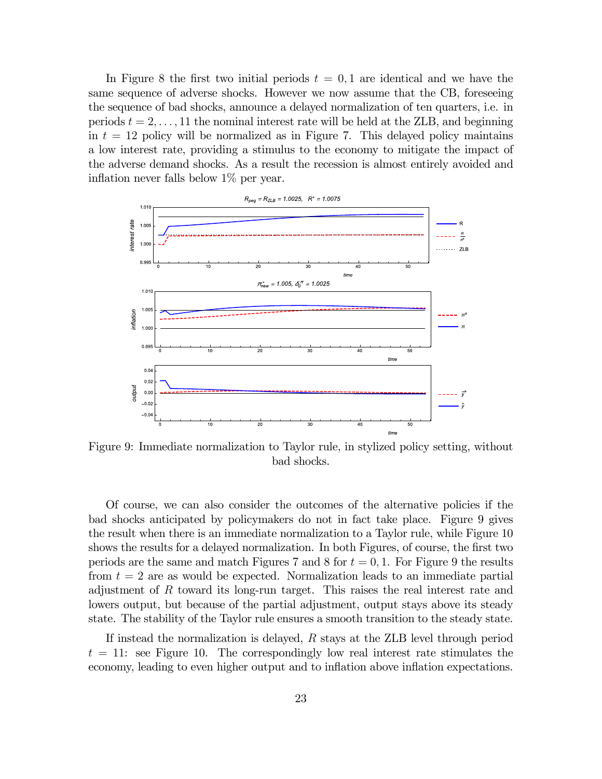In Figure 8 the first two initial periods  $t = 0, 1$  are identical and we have the same sequence of adverse shocks. However we now assume that the CB, foreseeing the sequence of bad shocks, announce a delayed normalization of ten quarters, i.e. in periods  $t = 2, \ldots, 11$  the nominal interest rate will be held at the ZLB, and beginning in  $t = 12$  policy will be normalized as in Figure 7. This delayed policy maintains a low interest rate, providing a stimulus to the economy to mitigate the impact of the adverse demand shocks. As a result the recession is almost entirely avoided and inflation never falls below 1% per year.



Figure 9: Immediate normalization to Taylor rule, in stylized policy setting, without bad shocks.

Of course, we can also consider the outcomes of the alternative policies if the bad shocks anticipated by policymakers do not in fact take place. Figure 9 gives the result when there is an immediate normalization to a Taylor rule, while Figure 10 shows the results for a delayed normalization. In both Figures, of course, the first two periods are the same and match Figures 7 and 8 for  $t = 0, 1$ . For Figure 9 the results from  $t = 2$  are as would be expected. Normalization leads to an immediate partial adjustment of  $R$  toward its long-run target. This raises the real interest rate and lowers output, but because of the partial adjustment, output stays above its steady state. The stability of the Taylor rule ensures a smooth transition to the steady state.

If instead the normalization is delayed,  $R$  stays at the ZLB level through period  $t = 11$ : see Figure 10. The correspondingly low real interest rate stimulates the economy, leading to even higher output and to inflation above inflation expectations.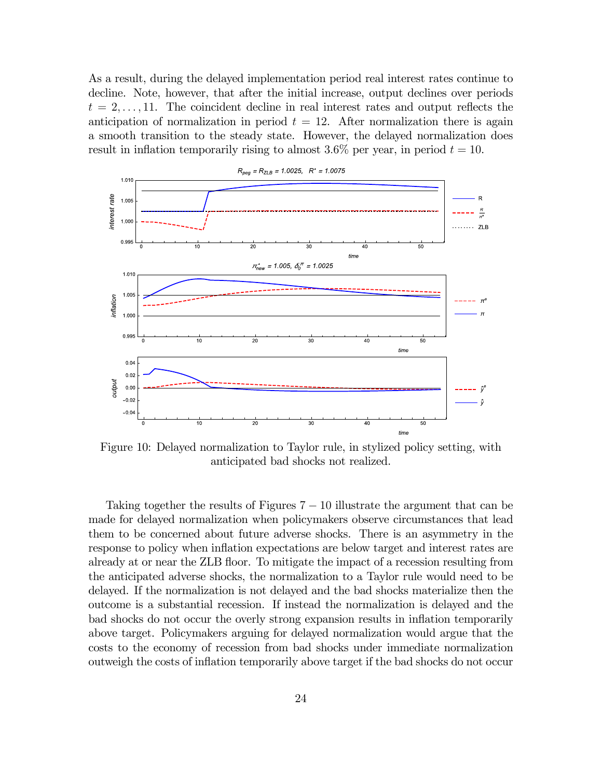As a result, during the delayed implementation period real interest rates continue to decline. Note, however, that after the initial increase, output declines over periods  $t = 2, \ldots, 11$ . The coincident decline in real interest rates and output reflects the anticipation of normalization in period  $t = 12$ . After normalization there is again a smooth transition to the steady state. However, the delayed normalization does result in inflation temporarily rising to almost  $3.6\%$  per year, in period  $t = 10$ .



Figure 10: Delayed normalization to Taylor rule, in stylized policy setting, with anticipated bad shocks not realized.

Taking together the results of Figures  $7 - 10$  illustrate the argument that can be made for delayed normalization when policymakers observe circumstances that lead them to be concerned about future adverse shocks. There is an asymmetry in the response to policy when inflation expectations are below target and interest rates are already at or near the ZLB floor. To mitigate the impact of a recession resulting from the anticipated adverse shocks, the normalization to a Taylor rule would need to be delayed. If the normalization is not delayed and the bad shocks materialize then the outcome is a substantial recession. If instead the normalization is delayed and the bad shocks do not occur the overly strong expansion results in inflation temporarily above target. Policymakers arguing for delayed normalization would argue that the costs to the economy of recession from bad shocks under immediate normalization outweigh the costs of inflation temporarily above target if the bad shocks do not occur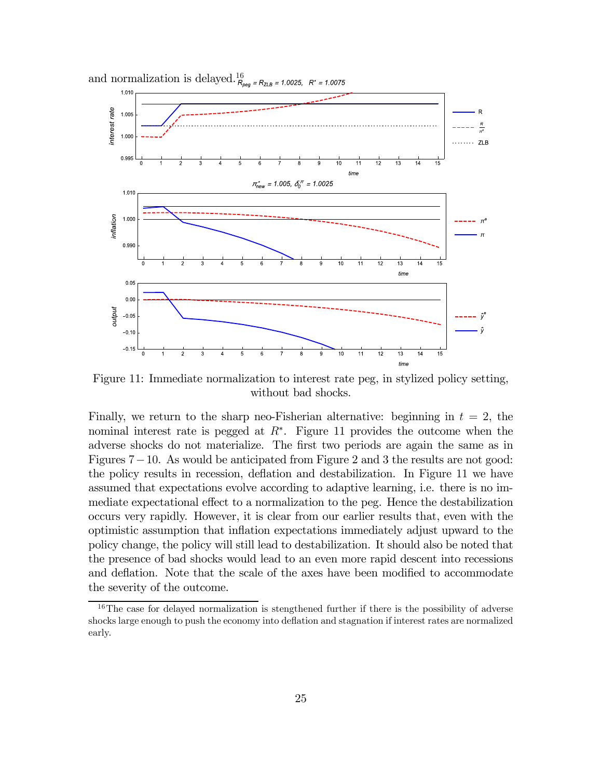

and normalization is delayed. $^{16}_{R_{\text{peg}}}$  $=R_{ZLB}=1.0025$ ,  $R^*$ 1.0075

Figure 11: Immediate normalization to interest rate peg, in stylized policy setting, without bad shocks.

Finally, we return to the sharp neo-Fisherian alternative: beginning in  $t = 2$ , the nominal interest rate is pegged at  $R^*$ . Figure 11 provides the outcome when the adverse shocks do not materialize. The first two periods are again the same as in Figures 7−10. As would be anticipated from Figure 2 and 3 the results are not good: the policy results in recession, deflation and destabilization. In Figure 11 we have assumed that expectations evolve according to adaptive learning, i.e. there is no immediate expectational effect to a normalization to the peg. Hence the destabilization occurs very rapidly. However, it is clear from our earlier results that, even with the optimistic assumption that inflation expectations immediately adjust upward to the policy change, the policy will still lead to destabilization. It should also be noted that the presence of bad shocks would lead to an even more rapid descent into recessions and deflation. Note that the scale of the axes have been modified to accommodate the severity of the outcome.

 $16$ The case for delayed normalization is stengthened further if there is the possibility of adverse shocks large enough to push the economy into deflation and stagnation if interest rates are normalized early.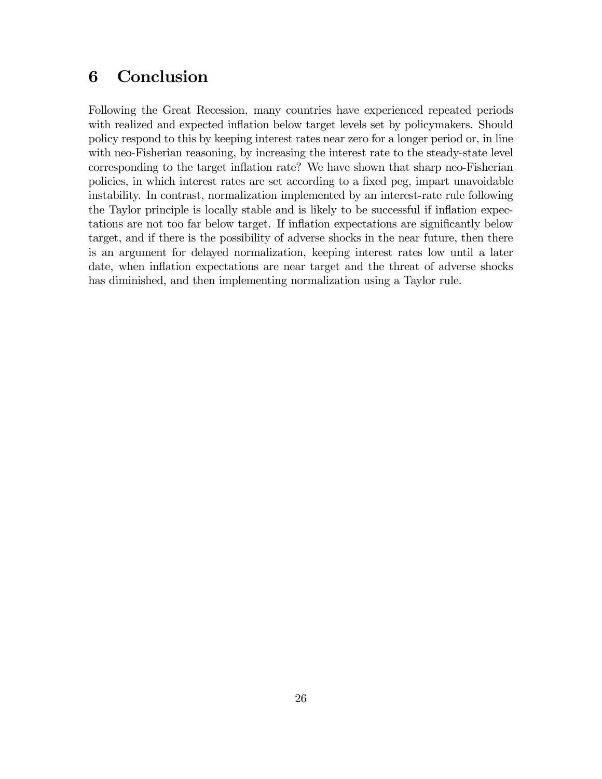### 6 Conclusion

Following the Great Recession, many countries have experienced repeated periods with realized and expected inflation below target levels set by policymakers. Should policy respond to this by keeping interest rates near zero for a longer period or, in line with neo-Fisherian reasoning, by increasing the interest rate to the steady-state level corresponding to the target inflation rate? We have shown that sharp neo-Fisherian policies, in which interest rates are set according to a fixed peg, impart unavoidable instability. In contrast, normalization implemented by an interest-rate rule following the Taylor principle is locally stable and is likely to be successful if inflation expectations are not too far below target. If inflation expectations are significantly below target, and if there is the possibility of adverse shocks in the near future, then there is an argument for delayed normalization, keeping interest rates low until a later date, when inflation expectations are near target and the threat of adverse shocks has diminished, and then implementing normalization using a Taylor rule.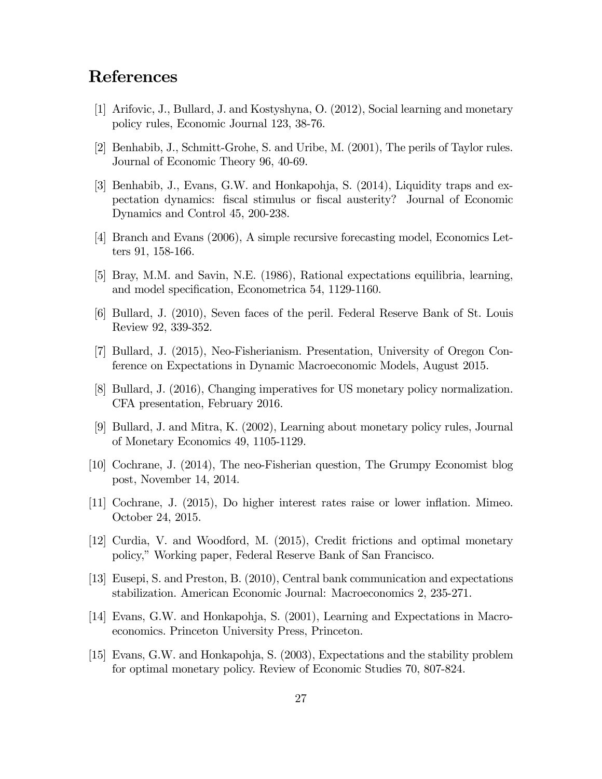## References

- [1] Arifovic, J., Bullard, J. and Kostyshyna, O. (2012), Social learning and monetary policy rules, Economic Journal 123, 38-76.
- [2] Benhabib, J., Schmitt-Grohe, S. and Uribe, M. (2001), The perils of Taylor rules. Journal of Economic Theory 96, 40-69.
- [3] Benhabib, J., Evans, G.W. and Honkapohja, S. (2014), Liquidity traps and expectation dynamics: fiscal stimulus or fiscal austerity? Journal of Economic Dynamics and Control 45, 200-238.
- [4] Branch and Evans (2006), A simple recursive forecasting model, Economics Letters 91, 158-166.
- [5] Bray, M.M. and Savin, N.E. (1986), Rational expectations equilibria, learning, and model specification, Econometrica 54, 1129-1160.
- [6] Bullard, J. (2010), Seven faces of the peril. Federal Reserve Bank of St. Louis Review 92, 339-352.
- [7] Bullard, J. (2015), Neo-Fisherianism. Presentation, University of Oregon Conference on Expectations in Dynamic Macroeconomic Models, August 2015.
- [8] Bullard, J. (2016), Changing imperatives for US monetary policy normalization. CFA presentation, February 2016.
- [9] Bullard, J. and Mitra, K. (2002), Learning about monetary policy rules, Journal of Monetary Economics 49, 1105-1129.
- [10] Cochrane, J. (2014), The neo-Fisherian question, The Grumpy Economist blog post, November 14, 2014.
- [11] Cochrane, J. (2015), Do higher interest rates raise or lower inflation. Mimeo. October 24, 2015.
- [12] Curdia, V. and Woodford, M. (2015), Credit frictions and optimal monetary policy," Working paper, Federal Reserve Bank of San Francisco.
- [13] Eusepi, S. and Preston, B. (2010), Central bank communication and expectations stabilization. American Economic Journal: Macroeconomics 2, 235-271.
- [14] Evans, G.W. and Honkapohja, S. (2001), Learning and Expectations in Macroeconomics. Princeton University Press, Princeton.
- [15] Evans, G.W. and Honkapohja, S. (2003), Expectations and the stability problem for optimal monetary policy. Review of Economic Studies 70, 807-824.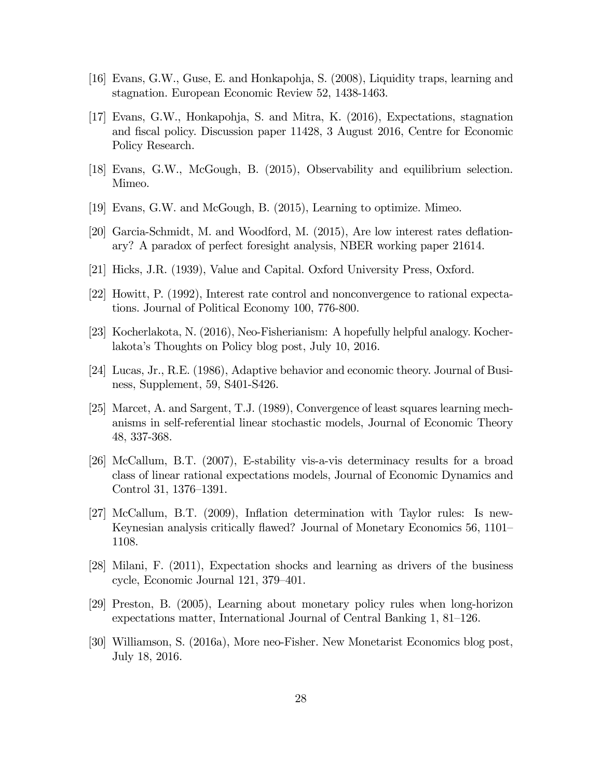- [16] Evans, G.W., Guse, E. and Honkapohja, S. (2008), Liquidity traps, learning and stagnation. European Economic Review 52, 1438-1463.
- [17] Evans, G.W., Honkapohja, S. and Mitra, K. (2016), Expectations, stagnation and fiscal policy. Discussion paper 11428, 3 August 2016, Centre for Economic Policy Research.
- [18] Evans, G.W., McGough, B. (2015), Observability and equilibrium selection. Mimeo.
- [19] Evans, G.W. and McGough, B. (2015), Learning to optimize. Mimeo.
- [20] Garcia-Schmidt, M. and Woodford, M. (2015), Are low interest rates deflationary? A paradox of perfect foresight analysis, NBER working paper 21614.
- [21] Hicks, J.R. (1939), Value and Capital. Oxford University Press, Oxford.
- [22] Howitt, P. (1992), Interest rate control and nonconvergence to rational expectations. Journal of Political Economy 100, 776-800.
- [23] Kocherlakota, N. (2016), Neo-Fisherianism: A hopefully helpful analogy. Kocherlakota's Thoughts on Policy blog post, July 10, 2016.
- [24] Lucas, Jr., R.E. (1986), Adaptive behavior and economic theory. Journal of Business, Supplement, 59, S401-S426.
- [25] Marcet, A. and Sargent, T.J. (1989), Convergence of least squares learning mechanisms in self-referential linear stochastic models, Journal of Economic Theory 48, 337-368.
- [26] McCallum, B.T. (2007), E-stability vis-a-vis determinacy results for a broad class of linear rational expectations models, Journal of Economic Dynamics and Control 31, 1376—1391.
- [27] McCallum, B.T. (2009), Inflation determination with Taylor rules: Is new-Keynesian analysis critically flawed? Journal of Monetary Economics 56, 1101— 1108.
- [28] Milani, F. (2011), Expectation shocks and learning as drivers of the business cycle, Economic Journal 121, 379—401.
- [29] Preston, B. (2005), Learning about monetary policy rules when long-horizon expectations matter, International Journal of Central Banking 1, 81—126.
- [30] Williamson, S. (2016a), More neo-Fisher. New Monetarist Economics blog post, July 18, 2016.